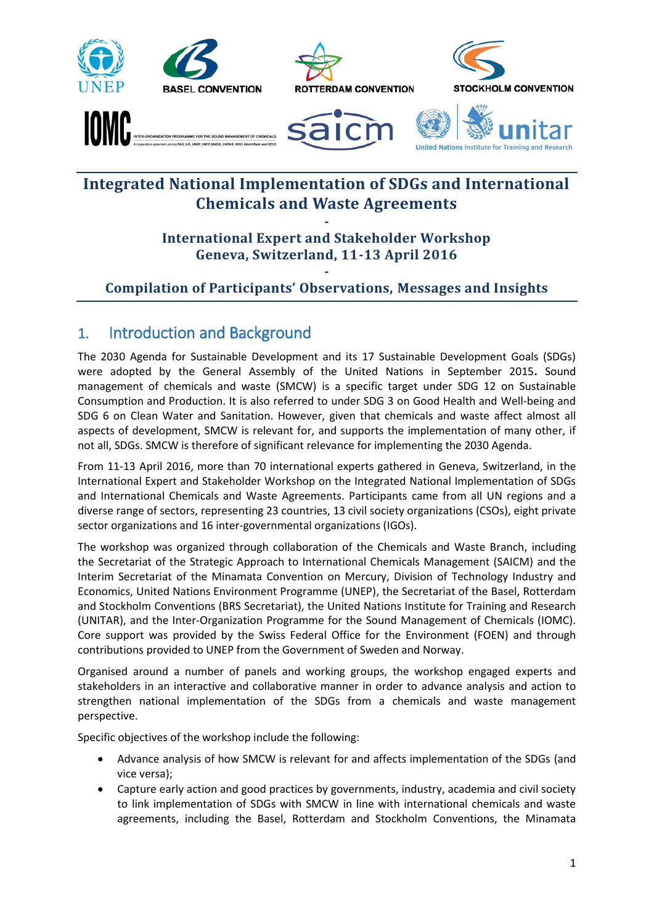





**United Nations Institute for Traini** 

# **Integrated National Implementation of SDGs and International Chemicals and Waste Agreements**

# **- International Expert and Stakeholder Workshop Geneva, Switzerland, 11-13 April 2016**

## **- Compilation of Participants' Observations, Messages and Insights**

# 1. Introduction and Background

The 2030 Agenda for Sustainable Development and its 17 Sustainable Development Goals (SDGs) were adopted by the General Assembly of the United Nations in September 2015**.** Sound management of chemicals and waste (SMCW) is a specific target under SDG 12 on Sustainable Consumption and Production. It is also referred to under SDG 3 on Good Health and Well-being and SDG 6 on Clean Water and Sanitation. However, given that chemicals and waste affect almost all aspects of development, SMCW is relevant for, and supports the implementation of many other, if not all, SDGs. SMCW is therefore of significant relevance for implementing the 2030 Agenda.

From 11-13 April 2016, more than 70 international experts gathered in Geneva, Switzerland, in the International Expert and Stakeholder Workshop on the Integrated National Implementation of SDGs and International Chemicals and Waste Agreements. Participants came from all UN regions and a diverse range of sectors, representing 23 countries, 13 civil society organizations (CSOs), eight private sector organizations and 16 inter-governmental organizations (IGOs).

The workshop was organized through collaboration of the Chemicals and Waste Branch, including the Secretariat of the Strategic Approach to International Chemicals Management (SAICM) and the Interim Secretariat of the Minamata Convention on Mercury, Division of Technology Industry and Economics, United Nations Environment Programme (UNEP), the Secretariat of the Basel, Rotterdam and Stockholm Conventions (BRS Secretariat), the United Nations Institute for Training and Research (UNITAR), and the Inter-Organization Programme for the Sound Management of Chemicals (IOMC). Core support was provided by the Swiss Federal Office for the Environment (FOEN) and through contributions provided to UNEP from the Government of Sweden and Norway.

Organised around a number of panels and working groups, the workshop engaged experts and stakeholders in an interactive and collaborative manner in order to advance analysis and action to strengthen national implementation of the SDGs from a chemicals and waste management perspective.

Specific objectives of the workshop include the following:

- Advance analysis of how SMCW is relevant for and affects implementation of the SDGs (and vice versa);
- Capture early action and good practices by governments, industry, academia and civil society to link implementation of SDGs with SMCW in line with international chemicals and waste agreements, including the Basel, Rotterdam and Stockholm Conventions, the Minamata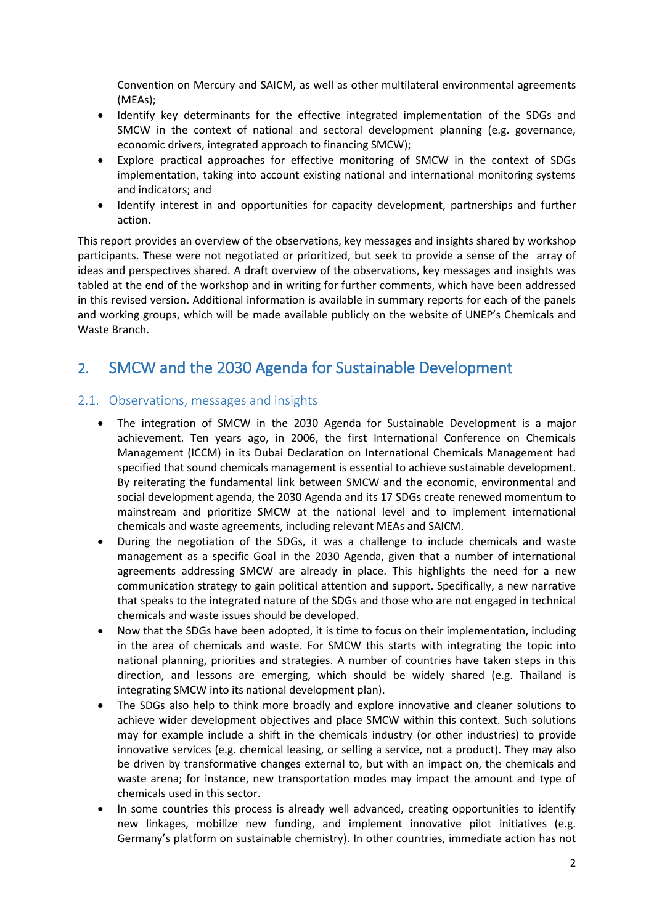Convention on Mercury and SAICM, as well as other multilateral environmental agreements (MEAs);

- Identify key determinants for the effective integrated implementation of the SDGs and SMCW in the context of national and sectoral development planning (e.g. governance, economic drivers, integrated approach to financing SMCW);
- Explore practical approaches for effective monitoring of SMCW in the context of SDGs implementation, taking into account existing national and international monitoring systems and indicators; and
- Identify interest in and opportunities for capacity development, partnerships and further action.

This report provides an overview of the observations, key messages and insights shared by workshop participants. These were not negotiated or prioritized, but seek to provide a sense of the array of ideas and perspectives shared. A draft overview of the observations, key messages and insights was tabled at the end of the workshop and in writing for further comments, which have been addressed in this revised version. Additional information is available in summary reports for each of the panels and working groups, which will be made available publicly on the website of UNEP's Chemicals and Waste Branch.

# 2. SMCW and the 2030 Agenda for Sustainable Development

## 2.1. Observations, messages and insights

- The integration of SMCW in the 2030 Agenda for Sustainable Development is a major achievement. Ten years ago, in 2006, the first International Conference on Chemicals Management (ICCM) in its Dubai Declaration on International Chemicals Management had specified that sound chemicals management is essential to achieve sustainable development. By reiterating the fundamental link between SMCW and the economic, environmental and social development agenda, the 2030 Agenda and its 17 SDGs create renewed momentum to mainstream and prioritize SMCW at the national level and to implement international chemicals and waste agreements, including relevant MEAs and SAICM.
- During the negotiation of the SDGs, it was a challenge to include chemicals and waste management as a specific Goal in the 2030 Agenda, given that a number of international agreements addressing SMCW are already in place. This highlights the need for a new communication strategy to gain political attention and support. Specifically, a new narrative that speaks to the integrated nature of the SDGs and those who are not engaged in technical chemicals and waste issues should be developed.
- Now that the SDGs have been adopted, it is time to focus on their implementation, including in the area of chemicals and waste. For SMCW this starts with integrating the topic into national planning, priorities and strategies. A number of countries have taken steps in this direction, and lessons are emerging, which should be widely shared (e.g. Thailand is integrating SMCW into its national development plan).
- The SDGs also help to think more broadly and explore innovative and cleaner solutions to achieve wider development objectives and place SMCW within this context. Such solutions may for example include a shift in the chemicals industry (or other industries) to provide innovative services (e.g. chemical leasing, or selling a service, not a product). They may also be driven by transformative changes external to, but with an impact on, the chemicals and waste arena; for instance, new transportation modes may impact the amount and type of chemicals used in this sector.
- In some countries this process is already well advanced, creating opportunities to identify new linkages, mobilize new funding, and implement innovative pilot initiatives (e.g. Germany's platform on sustainable chemistry). In other countries, immediate action has not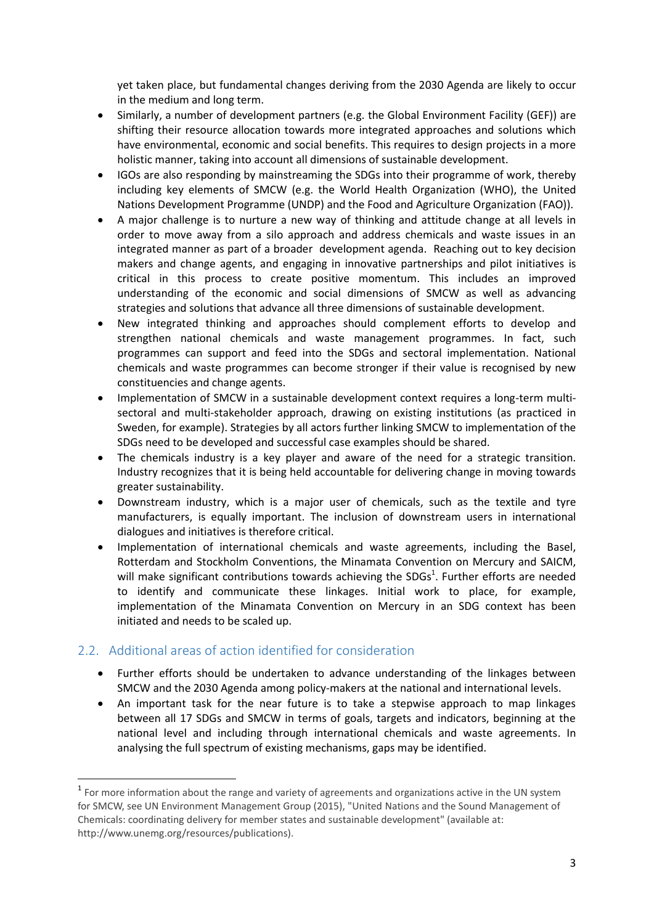yet taken place, but fundamental changes deriving from the 2030 Agenda are likely to occur in the medium and long term.

- Similarly, a number of development partners (e.g. the Global Environment Facility (GEF)) are shifting their resource allocation towards more integrated approaches and solutions which have environmental, economic and social benefits. This requires to design projects in a more holistic manner, taking into account all dimensions of sustainable development.
- IGOs are also responding by mainstreaming the SDGs into their programme of work, thereby including key elements of SMCW (e.g. the World Health Organization (WHO), the United Nations Development Programme (UNDP) and the Food and Agriculture Organization (FAO)).
- A major challenge is to nurture a new way of thinking and attitude change at all levels in order to move away from a silo approach and address chemicals and waste issues in an integrated manner as part of a broader development agenda. Reaching out to key decision makers and change agents, and engaging in innovative partnerships and pilot initiatives is critical in this process to create positive momentum. This includes an improved understanding of the economic and social dimensions of SMCW as well as advancing strategies and solutions that advance all three dimensions of sustainable development.
- New integrated thinking and approaches should complement efforts to develop and strengthen national chemicals and waste management programmes. In fact, such programmes can support and feed into the SDGs and sectoral implementation. National chemicals and waste programmes can become stronger if their value is recognised by new constituencies and change agents.
- Implementation of SMCW in a sustainable development context requires a long-term multisectoral and multi-stakeholder approach, drawing on existing institutions (as practiced in Sweden, for example). Strategies by all actors further linking SMCW to implementation of the SDGs need to be developed and successful case examples should be shared.
- The chemicals industry is a key player and aware of the need for a strategic transition. Industry recognizes that it is being held accountable for delivering change in moving towards greater sustainability.
- Downstream industry, which is a major user of chemicals, such as the textile and tyre manufacturers, is equally important. The inclusion of downstream users in international dialogues and initiatives is therefore critical.
- Implementation of international chemicals and waste agreements, including the Basel, Rotterdam and Stockholm Conventions, the Minamata Convention on Mercury and SAICM, will make significant contributions towards achieving the SDGs<sup>1</sup>. Further efforts are needed to identify and communicate these linkages. Initial work to place, for example, implementation of the Minamata Convention on Mercury in an SDG context has been initiated and needs to be scaled up.

## 2.2. Additional areas of action identified for consideration

**.** 

- Further efforts should be undertaken to advance understanding of the linkages between SMCW and the 2030 Agenda among policy-makers at the national and international levels.
- An important task for the near future is to take a stepwise approach to map linkages between all 17 SDGs and SMCW in terms of goals, targets and indicators, beginning at the national level and including through international chemicals and waste agreements. In analysing the full spectrum of existing mechanisms, gaps may be identified.

<sup>&</sup>lt;sup>1</sup> For more information about the range and variety of agreements and organizations active in the UN system for SMCW, see UN Environment Management Group (2015), "United Nations and the Sound Management of Chemicals: coordinating delivery for member states and sustainable development" (available at: http://www.unemg.org/resources/publications).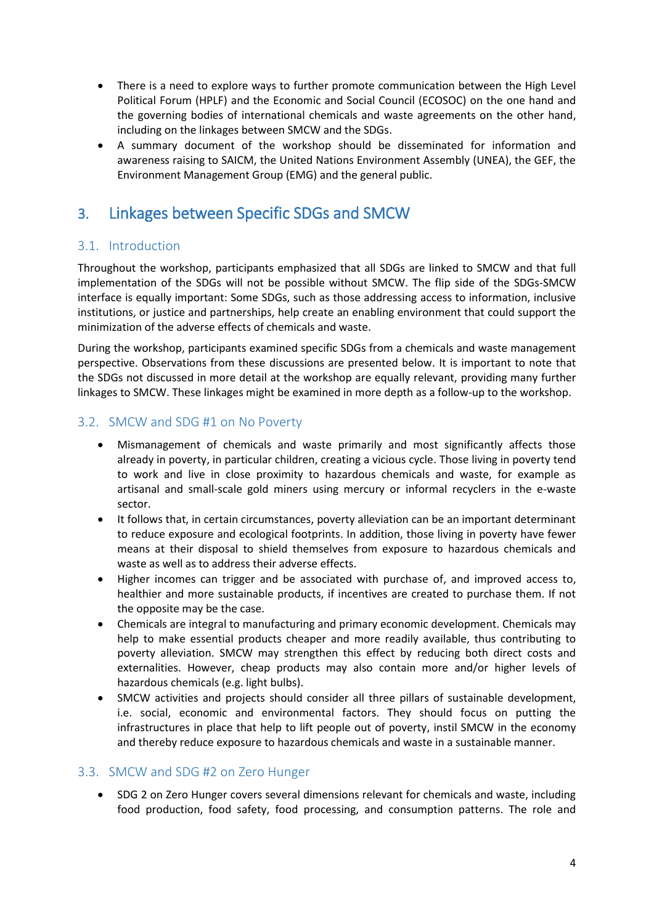- There is a need to explore ways to further promote communication between the High Level Political Forum (HPLF) and the Economic and Social Council (ECOSOC) on the one hand and the governing bodies of international chemicals and waste agreements on the other hand, including on the linkages between SMCW and the SDGs.
- A summary document of the workshop should be disseminated for information and awareness raising to SAICM, the United Nations Environment Assembly (UNEA), the GEF, the Environment Management Group (EMG) and the general public.

# 3. Linkages between Specific SDGs and SMCW

## 3.1. Introduction

Throughout the workshop, participants emphasized that all SDGs are linked to SMCW and that full implementation of the SDGs will not be possible without SMCW. The flip side of the SDGs-SMCW interface is equally important: Some SDGs, such as those addressing access to information, inclusive institutions, or justice and partnerships, help create an enabling environment that could support the minimization of the adverse effects of chemicals and waste.

During the workshop, participants examined specific SDGs from a chemicals and waste management perspective. Observations from these discussions are presented below. It is important to note that the SDGs not discussed in more detail at the workshop are equally relevant, providing many further linkages to SMCW. These linkages might be examined in more depth as a follow-up to the workshop.

# 3.2. SMCW and SDG #1 on No Poverty

- Mismanagement of chemicals and waste primarily and most significantly affects those already in poverty, in particular children, creating a vicious cycle. Those living in poverty tend to work and live in close proximity to hazardous chemicals and waste, for example as artisanal and small-scale gold miners using mercury or informal recyclers in the e-waste sector.
- It follows that, in certain circumstances, poverty alleviation can be an important determinant to reduce exposure and ecological footprints. In addition, those living in poverty have fewer means at their disposal to shield themselves from exposure to hazardous chemicals and waste as well as to address their adverse effects.
- Higher incomes can trigger and be associated with purchase of, and improved access to, healthier and more sustainable products, if incentives are created to purchase them. If not the opposite may be the case.
- Chemicals are integral to manufacturing and primary economic development. Chemicals may help to make essential products cheaper and more readily available, thus contributing to poverty alleviation. SMCW may strengthen this effect by reducing both direct costs and externalities. However, cheap products may also contain more and/or higher levels of hazardous chemicals (e.g. light bulbs).
- SMCW activities and projects should consider all three pillars of sustainable development, i.e. social, economic and environmental factors. They should focus on putting the infrastructures in place that help to lift people out of poverty, instil SMCW in the economy and thereby reduce exposure to hazardous chemicals and waste in a sustainable manner.

# 3.3. SMCW and SDG #2 on Zero Hunger

 SDG 2 on Zero Hunger covers several dimensions relevant for chemicals and waste, including food production, food safety, food processing, and consumption patterns. The role and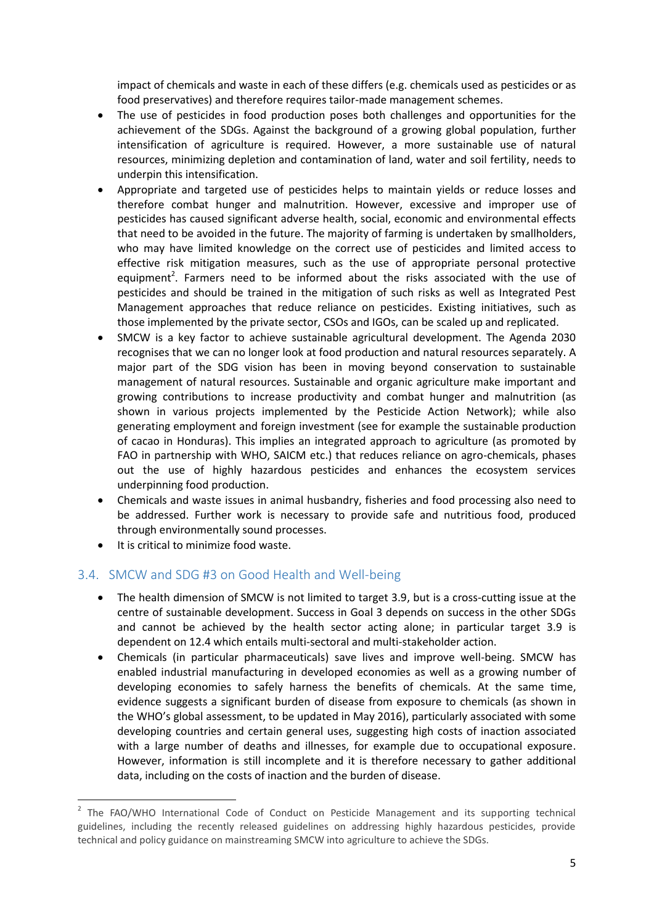impact of chemicals and waste in each of these differs (e.g. chemicals used as pesticides or as food preservatives) and therefore requires tailor-made management schemes.

- The use of pesticides in food production poses both challenges and opportunities for the achievement of the SDGs. Against the background of a growing global population, further intensification of agriculture is required. However, a more sustainable use of natural resources, minimizing depletion and contamination of land, water and soil fertility, needs to underpin this intensification.
- Appropriate and targeted use of pesticides helps to maintain yields or reduce losses and therefore combat hunger and malnutrition. However, excessive and improper use of pesticides has caused significant adverse health, social, economic and environmental effects that need to be avoided in the future. The majority of farming is undertaken by smallholders, who may have limited knowledge on the correct use of pesticides and limited access to effective risk mitigation measures, such as the use of appropriate personal protective equipment<sup>2</sup>. Farmers need to be informed about the risks associated with the use of pesticides and should be trained in the mitigation of such risks as well as Integrated Pest Management approaches that reduce reliance on pesticides. Existing initiatives, such as those implemented by the private sector, CSOs and IGOs, can be scaled up and replicated.
- SMCW is a key factor to achieve sustainable agricultural development. The Agenda 2030 recognises that we can no longer look at food production and natural resources separately. A major part of the SDG vision has been in moving beyond conservation to sustainable management of natural resources. Sustainable and organic agriculture make important and growing contributions to increase productivity and combat hunger and malnutrition (as shown in various projects implemented by the Pesticide Action Network); while also generating employment and foreign investment (see for example the sustainable production of cacao in Honduras). This implies an integrated approach to agriculture (as promoted by FAO in partnership with WHO, SAICM etc.) that reduces reliance on agro-chemicals, phases out the use of highly hazardous pesticides and enhances the ecosystem services underpinning food production.
- Chemicals and waste issues in animal husbandry, fisheries and food processing also need to be addressed. Further work is necessary to provide safe and nutritious food, produced through environmentally sound processes.
- It is critical to minimize food waste.

**.** 

## 3.4. SMCW and SDG #3 on Good Health and Well-being

- The health dimension of SMCW is not limited to target 3.9, but is a cross-cutting issue at the centre of sustainable development. Success in Goal 3 depends on success in the other SDGs and cannot be achieved by the health sector acting alone; in particular target 3.9 is dependent on 12.4 which entails multi-sectoral and multi-stakeholder action.
- Chemicals (in particular pharmaceuticals) save lives and improve well-being. SMCW has enabled industrial manufacturing in developed economies as well as a growing number of developing economies to safely harness the benefits of chemicals. At the same time, evidence suggests a significant burden of disease from exposure to chemicals (as shown in the WHO's global assessment, to be updated in May 2016), particularly associated with some developing countries and certain general uses, suggesting high costs of inaction associated with a large number of deaths and illnesses, for example due to occupational exposure. However, information is still incomplete and it is therefore necessary to gather additional data, including on the costs of inaction and the burden of disease.

<sup>&</sup>lt;sup>2</sup> The FAO/WHO International Code of Conduct on Pesticide Management and its supporting technical guidelines, including the recently released guidelines on addressing highly hazardous pesticides, provide technical and policy guidance on mainstreaming SMCW into agriculture to achieve the SDGs.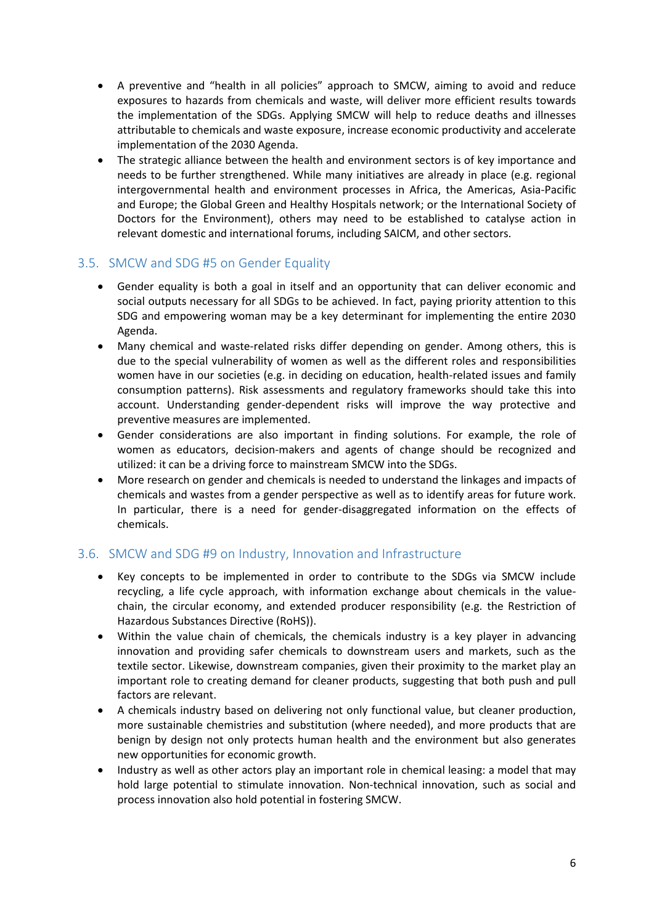- A preventive and "health in all policies" approach to SMCW, aiming to avoid and reduce exposures to hazards from chemicals and waste, will deliver more efficient results towards the implementation of the SDGs. Applying SMCW will help to reduce deaths and illnesses attributable to chemicals and waste exposure, increase economic productivity and accelerate implementation of the 2030 Agenda.
- The strategic alliance between the health and environment sectors is of key importance and needs to be further strengthened. While many initiatives are already in place (e.g. regional intergovernmental health and environment processes in Africa, the Americas, Asia-Pacific and Europe; the Global Green and Healthy Hospitals network; or the International Society of Doctors for the Environment), others may need to be established to catalyse action in relevant domestic and international forums, including SAICM, and other sectors.

## 3.5. SMCW and SDG #5 on Gender Equality

- Gender equality is both a goal in itself and an opportunity that can deliver economic and social outputs necessary for all SDGs to be achieved. In fact, paying priority attention to this SDG and empowering woman may be a key determinant for implementing the entire 2030 Agenda.
- Many chemical and waste-related risks differ depending on gender. Among others, this is due to the special vulnerability of women as well as the different roles and responsibilities women have in our societies (e.g. in deciding on education, health-related issues and family consumption patterns). Risk assessments and regulatory frameworks should take this into account. Understanding gender-dependent risks will improve the way protective and preventive measures are implemented.
- Gender considerations are also important in finding solutions. For example, the role of women as educators, decision-makers and agents of change should be recognized and utilized: it can be a driving force to mainstream SMCW into the SDGs.
- More research on gender and chemicals is needed to understand the linkages and impacts of chemicals and wastes from a gender perspective as well as to identify areas for future work. In particular, there is a need for gender-disaggregated information on the effects of chemicals.

## 3.6. SMCW and SDG #9 on Industry, Innovation and Infrastructure

- Key concepts to be implemented in order to contribute to the SDGs via SMCW include recycling, a life cycle approach, with information exchange about chemicals in the valuechain, the circular economy, and extended producer responsibility (e.g. the Restriction of Hazardous Substances Directive (RoHS)).
- Within the value chain of chemicals, the chemicals industry is a key player in advancing innovation and providing safer chemicals to downstream users and markets, such as the textile sector. Likewise, downstream companies, given their proximity to the market play an important role to creating demand for cleaner products, suggesting that both push and pull factors are relevant.
- A chemicals industry based on delivering not only functional value, but cleaner production, more sustainable chemistries and substitution (where needed), and more products that are benign by design not only protects human health and the environment but also generates new opportunities for economic growth.
- Industry as well as other actors play an important role in chemical leasing: a model that may hold large potential to stimulate innovation. Non-technical innovation, such as social and process innovation also hold potential in fostering SMCW.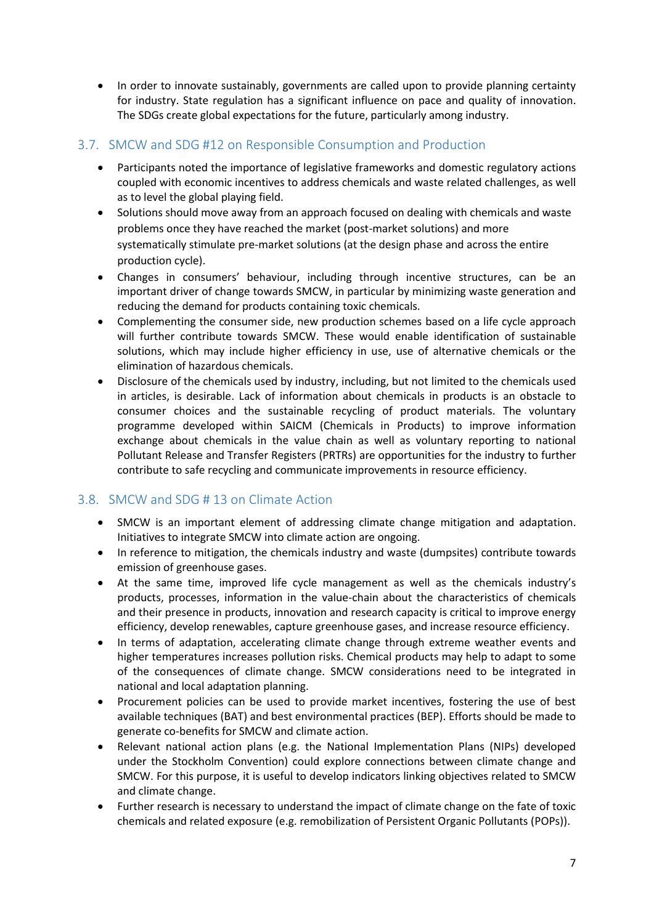• In order to innovate sustainably, governments are called upon to provide planning certainty for industry. State regulation has a significant influence on pace and quality of innovation. The SDGs create global expectations for the future, particularly among industry.

## 3.7. SMCW and SDG #12 on Responsible Consumption and Production

- Participants noted the importance of legislative frameworks and domestic regulatory actions coupled with economic incentives to address chemicals and waste related challenges, as well as to level the global playing field.
- Solutions should move away from an approach focused on dealing with chemicals and waste problems once they have reached the market (post-market solutions) and more systematically stimulate pre-market solutions (at the design phase and across the entire production cycle).
- Changes in consumers' behaviour, including through incentive structures, can be an important driver of change towards SMCW, in particular by minimizing waste generation and reducing the demand for products containing toxic chemicals.
- Complementing the consumer side, new production schemes based on a life cycle approach will further contribute towards SMCW. These would enable identification of sustainable solutions, which may include higher efficiency in use, use of alternative chemicals or the elimination of hazardous chemicals.
- Disclosure of the chemicals used by industry, including, but not limited to the chemicals used in articles, is desirable. Lack of information about chemicals in products is an obstacle to consumer choices and the sustainable recycling of product materials. The voluntary programme developed within SAICM (Chemicals in Products) to improve information exchange about chemicals in the value chain as well as voluntary reporting to national Pollutant Release and Transfer Registers (PRTRs) are opportunities for the industry to further contribute to safe recycling and communicate improvements in resource efficiency.

# 3.8. SMCW and SDG # 13 on Climate Action

- SMCW is an important element of addressing climate change mitigation and adaptation. Initiatives to integrate SMCW into climate action are ongoing.
- In reference to mitigation, the chemicals industry and waste (dumpsites) contribute towards emission of greenhouse gases.
- At the same time, improved life cycle management as well as the chemicals industry's products, processes, information in the value-chain about the characteristics of chemicals and their presence in products, innovation and research capacity is critical to improve energy efficiency, develop renewables, capture greenhouse gases, and increase resource efficiency.
- In terms of adaptation, accelerating climate change through extreme weather events and higher temperatures increases pollution risks. Chemical products may help to adapt to some of the consequences of climate change. SMCW considerations need to be integrated in national and local adaptation planning.
- Procurement policies can be used to provide market incentives, fostering the use of best available techniques (BAT) and best environmental practices (BEP). Efforts should be made to generate co-benefits for SMCW and climate action.
- Relevant national action plans (e.g. the National Implementation Plans (NIPs) developed under the Stockholm Convention) could explore connections between climate change and SMCW. For this purpose, it is useful to develop indicators linking objectives related to SMCW and climate change.
- Further research is necessary to understand the impact of climate change on the fate of toxic chemicals and related exposure (e.g. remobilization of Persistent Organic Pollutants (POPs)).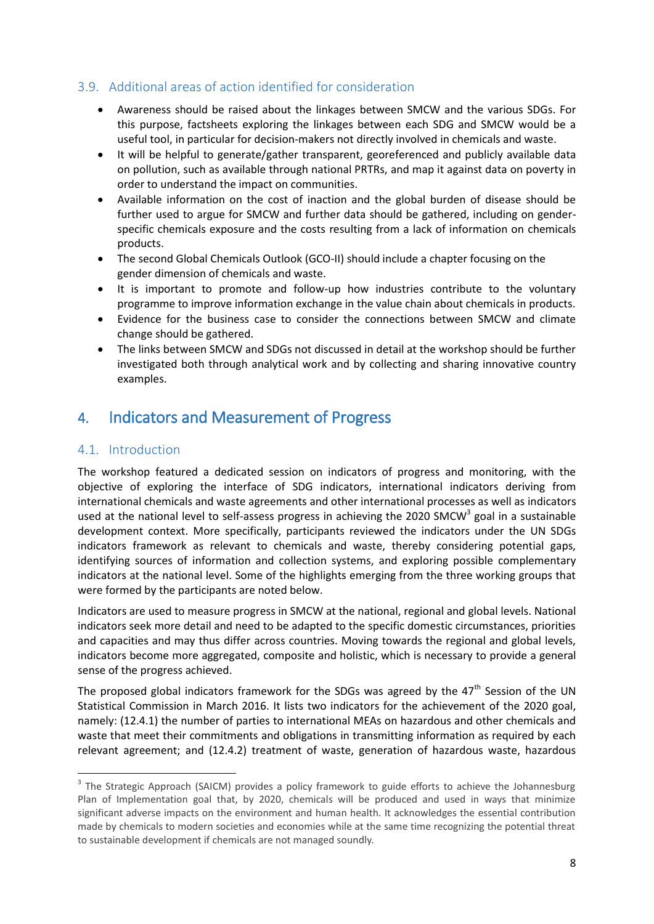## 3.9. Additional areas of action identified for consideration

- Awareness should be raised about the linkages between SMCW and the various SDGs. For this purpose, factsheets exploring the linkages between each SDG and SMCW would be a useful tool, in particular for decision-makers not directly involved in chemicals and waste.
- It will be helpful to generate/gather transparent, georeferenced and publicly available data on pollution, such as available through national PRTRs, and map it against data on poverty in order to understand the impact on communities.
- Available information on the cost of inaction and the global burden of disease should be further used to argue for SMCW and further data should be gathered, including on genderspecific chemicals exposure and the costs resulting from a lack of information on chemicals products.
- The second Global Chemicals Outlook (GCO-II) should include a chapter focusing on the gender dimension of chemicals and waste.
- It is important to promote and follow-up how industries contribute to the voluntary programme to improve information exchange in the value chain about chemicals in products.
- Evidence for the business case to consider the connections between SMCW and climate change should be gathered.
- The links between SMCW and SDGs not discussed in detail at the workshop should be further investigated both through analytical work and by collecting and sharing innovative country examples.

# 4. Indicators and Measurement of Progress

# 4.1. Introduction

**.** 

The workshop featured a dedicated session on indicators of progress and monitoring, with the objective of exploring the interface of SDG indicators, international indicators deriving from international chemicals and waste agreements and other international processes as well as indicators used at the national level to self-assess progress in achieving the 2020 SMCW<sup>3</sup> goal in a sustainable development context. More specifically, participants reviewed the indicators under the UN SDGs indicators framework as relevant to chemicals and waste, thereby considering potential gaps, identifying sources of information and collection systems, and exploring possible complementary indicators at the national level. Some of the highlights emerging from the three working groups that were formed by the participants are noted below.

Indicators are used to measure progress in SMCW at the national, regional and global levels. National indicators seek more detail and need to be adapted to the specific domestic circumstances, priorities and capacities and may thus differ across countries. Moving towards the regional and global levels, indicators become more aggregated, composite and holistic, which is necessary to provide a general sense of the progress achieved.

The proposed global indicators framework for the SDGs was agreed by the  $47<sup>th</sup>$  Session of the UN Statistical Commission in March 2016. It lists two indicators for the achievement of the 2020 goal, namely: (12.4.1) the number of parties to international MEAs on hazardous and other chemicals and waste that meet their commitments and obligations in transmitting information as required by each relevant agreement; and (12.4.2) treatment of waste, generation of hazardous waste, hazardous

<sup>&</sup>lt;sup>3</sup> The Strategic Approach (SAICM) provides a policy framework to guide efforts to achieve the Johannesburg Plan of Implementation goal that, by 2020, chemicals will be produced and used in ways that minimize significant adverse impacts on the environment and human health. It acknowledges the essential contribution made by chemicals to modern societies and economies while at the same time recognizing the potential threat to sustainable development if chemicals are not managed soundly.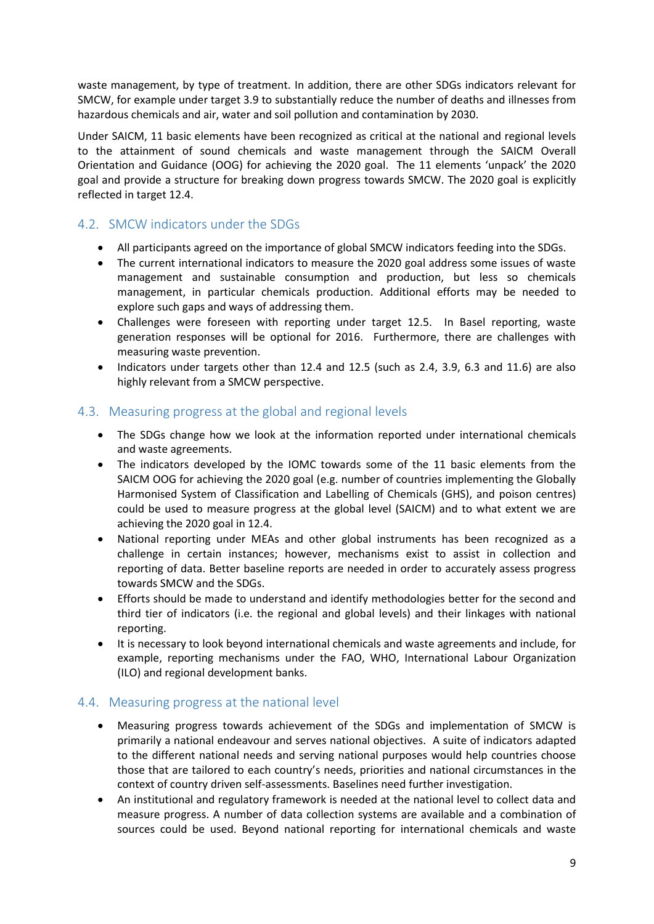waste management, by type of treatment. In addition, there are other SDGs indicators relevant for SMCW, for example under target 3.9 to substantially reduce the number of deaths and illnesses from hazardous chemicals and air, water and soil pollution and contamination by 2030.

Under SAICM, 11 basic elements have been recognized as critical at the national and regional levels to the attainment of sound chemicals and waste management through the SAICM Overall Orientation and Guidance (OOG) for achieving the 2020 goal. The 11 elements 'unpack' the 2020 goal and provide a structure for breaking down progress towards SMCW. The 2020 goal is explicitly reflected in target 12.4.

# 4.2. SMCW indicators under the SDGs

- All participants agreed on the importance of global SMCW indicators feeding into the SDGs.
- The current international indicators to measure the 2020 goal address some issues of waste management and sustainable consumption and production, but less so chemicals management, in particular chemicals production. Additional efforts may be needed to explore such gaps and ways of addressing them.
- Challenges were foreseen with reporting under target 12.5. In Basel reporting, waste generation responses will be optional for 2016. Furthermore, there are challenges with measuring waste prevention.
- $\bullet$  Indicators under targets other than 12.4 and 12.5 (such as 2.4, 3.9, 6.3 and 11.6) are also highly relevant from a SMCW perspective.

## 4.3. Measuring progress at the global and regional levels

- The SDGs change how we look at the information reported under international chemicals and waste agreements.
- The indicators developed by the IOMC towards some of the 11 basic elements from the SAICM OOG for achieving the 2020 goal (e.g. number of countries implementing the Globally Harmonised System of Classification and Labelling of Chemicals (GHS), and poison centres) could be used to measure progress at the global level (SAICM) and to what extent we are achieving the 2020 goal in 12.4.
- National reporting under MEAs and other global instruments has been recognized as a challenge in certain instances; however, mechanisms exist to assist in collection and reporting of data. Better baseline reports are needed in order to accurately assess progress towards SMCW and the SDGs.
- Efforts should be made to understand and identify methodologies better for the second and third tier of indicators (i.e. the regional and global levels) and their linkages with national reporting.
- It is necessary to look beyond international chemicals and waste agreements and include, for example, reporting mechanisms under the FAO, WHO, International Labour Organization (ILO) and regional development banks.

## 4.4. Measuring progress at the national level

- Measuring progress towards achievement of the SDGs and implementation of SMCW is primarily a national endeavour and serves national objectives. A suite of indicators adapted to the different national needs and serving national purposes would help countries choose those that are tailored to each country's needs, priorities and national circumstances in the context of country driven self-assessments. Baselines need further investigation.
- An institutional and regulatory framework is needed at the national level to collect data and measure progress. A number of data collection systems are available and a combination of sources could be used. Beyond national reporting for international chemicals and waste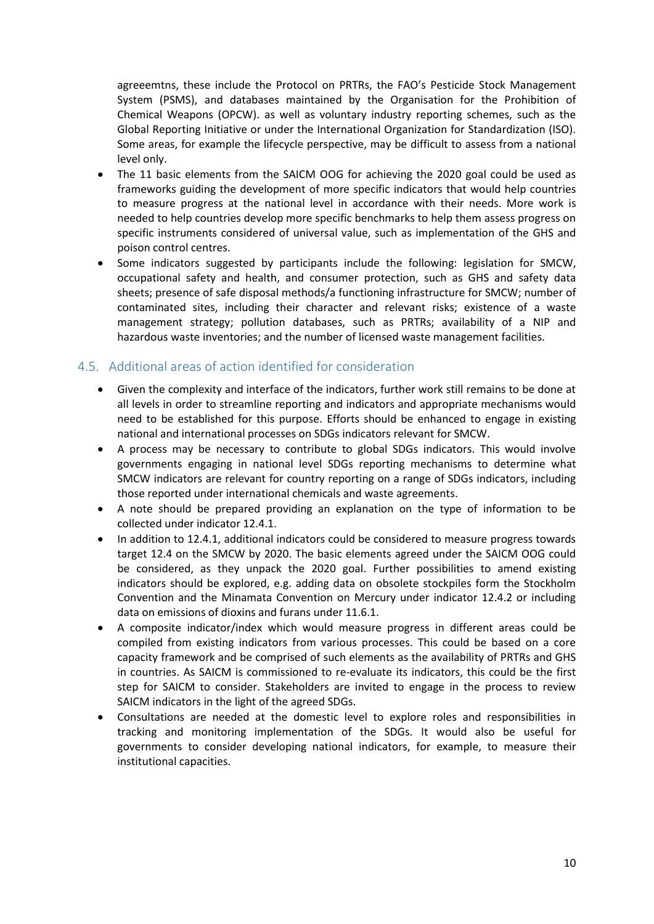agreeemtns, these include the Protocol on PRTRs, the FAO's Pesticide Stock Management System (PSMS), and databases maintained by the Organisation for the Prohibition of Chemical Weapons (OPCW). as well as voluntary industry reporting schemes, such as the Global Reporting Initiative or under the International Organization for Standardization (ISO). Some areas, for example the lifecycle perspective, may be difficult to assess from a national level only.

- The 11 basic elements from the SAICM OOG for achieving the 2020 goal could be used as frameworks guiding the development of more specific indicators that would help countries to measure progress at the national level in accordance with their needs. More work is needed to help countries develop more specific benchmarks to help them assess progress on specific instruments considered of universal value, such as implementation of the GHS and poison control centres.
- Some indicators suggested by participants include the following: legislation for SMCW, occupational safety and health, and consumer protection, such as GHS and safety data sheets; presence of safe disposal methods/a functioning infrastructure for SMCW; number of contaminated sites, including their character and relevant risks; existence of a waste management strategy; pollution databases, such as PRTRs; availability of a NIP and hazardous waste inventories; and the number of licensed waste management facilities.

## 4.5. Additional areas of action identified for consideration

- Given the complexity and interface of the indicators, further work still remains to be done at all levels in order to streamline reporting and indicators and appropriate mechanisms would need to be established for this purpose. Efforts should be enhanced to engage in existing national and international processes on SDGs indicators relevant for SMCW.
- A process may be necessary to contribute to global SDGs indicators. This would involve governments engaging in national level SDGs reporting mechanisms to determine what SMCW indicators are relevant for country reporting on a range of SDGs indicators, including those reported under international chemicals and waste agreements.
- A note should be prepared providing an explanation on the type of information to be collected under indicator 12.4.1.
- In addition to 12.4.1, additional indicators could be considered to measure progress towards target 12.4 on the SMCW by 2020. The basic elements agreed under the SAICM OOG could be considered, as they unpack the 2020 goal. Further possibilities to amend existing indicators should be explored, e.g. adding data on obsolete stockpiles form the Stockholm Convention and the Minamata Convention on Mercury under indicator 12.4.2 or including data on emissions of dioxins and furans under 11.6.1.
- A composite indicator/index which would measure progress in different areas could be compiled from existing indicators from various processes. This could be based on a core capacity framework and be comprised of such elements as the availability of PRTRs and GHS in countries. As SAICM is commissioned to re-evaluate its indicators, this could be the first step for SAICM to consider. Stakeholders are invited to engage in the process to review SAICM indicators in the light of the agreed SDGs.
- Consultations are needed at the domestic level to explore roles and responsibilities in tracking and monitoring implementation of the SDGs. It would also be useful for governments to consider developing national indicators, for example, to measure their institutional capacities.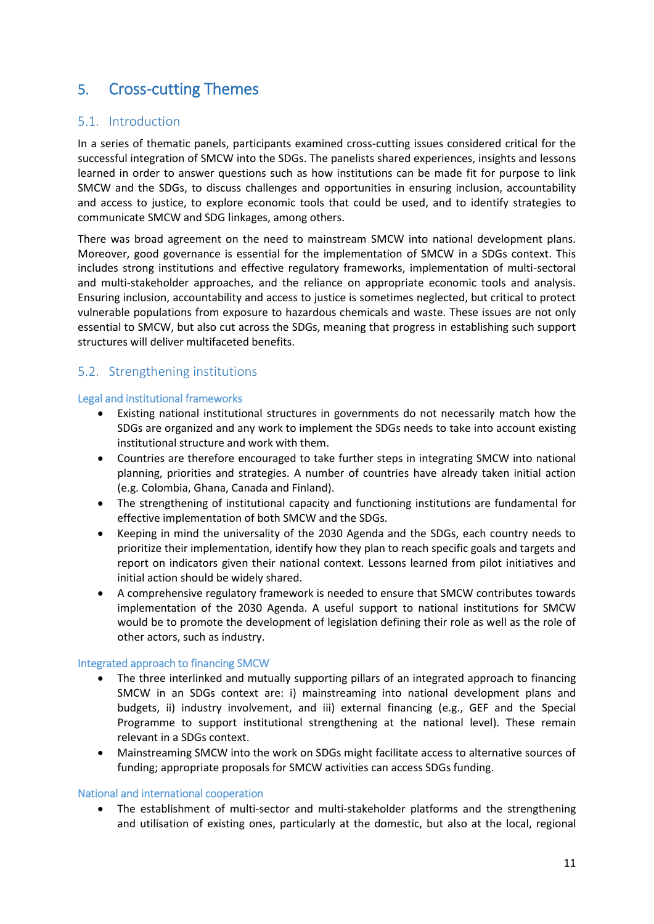# 5. Cross-cutting Themes

## 5.1. Introduction

In a series of thematic panels, participants examined cross-cutting issues considered critical for the successful integration of SMCW into the SDGs. The panelists shared experiences, insights and lessons learned in order to answer questions such as how institutions can be made fit for purpose to link SMCW and the SDGs, to discuss challenges and opportunities in ensuring inclusion, accountability and access to justice, to explore economic tools that could be used, and to identify strategies to communicate SMCW and SDG linkages, among others.

There was broad agreement on the need to mainstream SMCW into national development plans. Moreover, good governance is essential for the implementation of SMCW in a SDGs context. This includes strong institutions and effective regulatory frameworks, implementation of multi-sectoral and multi-stakeholder approaches, and the reliance on appropriate economic tools and analysis. Ensuring inclusion, accountability and access to justice is sometimes neglected, but critical to protect vulnerable populations from exposure to hazardous chemicals and waste. These issues are not only essential to SMCW, but also cut across the SDGs, meaning that progress in establishing such support structures will deliver multifaceted benefits.

## 5.2. Strengthening institutions

#### Legal and institutional frameworks

- Existing national institutional structures in governments do not necessarily match how the SDGs are organized and any work to implement the SDGs needs to take into account existing institutional structure and work with them.
- Countries are therefore encouraged to take further steps in integrating SMCW into national planning, priorities and strategies. A number of countries have already taken initial action (e.g. Colombia, Ghana, Canada and Finland).
- The strengthening of institutional capacity and functioning institutions are fundamental for effective implementation of both SMCW and the SDGs.
- Keeping in mind the universality of the 2030 Agenda and the SDGs, each country needs to prioritize their implementation, identify how they plan to reach specific goals and targets and report on indicators given their national context. Lessons learned from pilot initiatives and initial action should be widely shared.
- A comprehensive regulatory framework is needed to ensure that SMCW contributes towards implementation of the 2030 Agenda. A useful support to national institutions for SMCW would be to promote the development of legislation defining their role as well as the role of other actors, such as industry.

#### Integrated approach to financing SMCW

- The three interlinked and mutually supporting pillars of an integrated approach to financing SMCW in an SDGs context are: i) mainstreaming into national development plans and budgets, ii) industry involvement, and iii) external financing (e.g., GEF and the Special Programme to support institutional strengthening at the national level). These remain relevant in a SDGs context.
- Mainstreaming SMCW into the work on SDGs might facilitate access to alternative sources of funding; appropriate proposals for SMCW activities can access SDGs funding.

#### National and international cooperation

• The establishment of multi-sector and multi-stakeholder platforms and the strengthening and utilisation of existing ones, particularly at the domestic, but also at the local, regional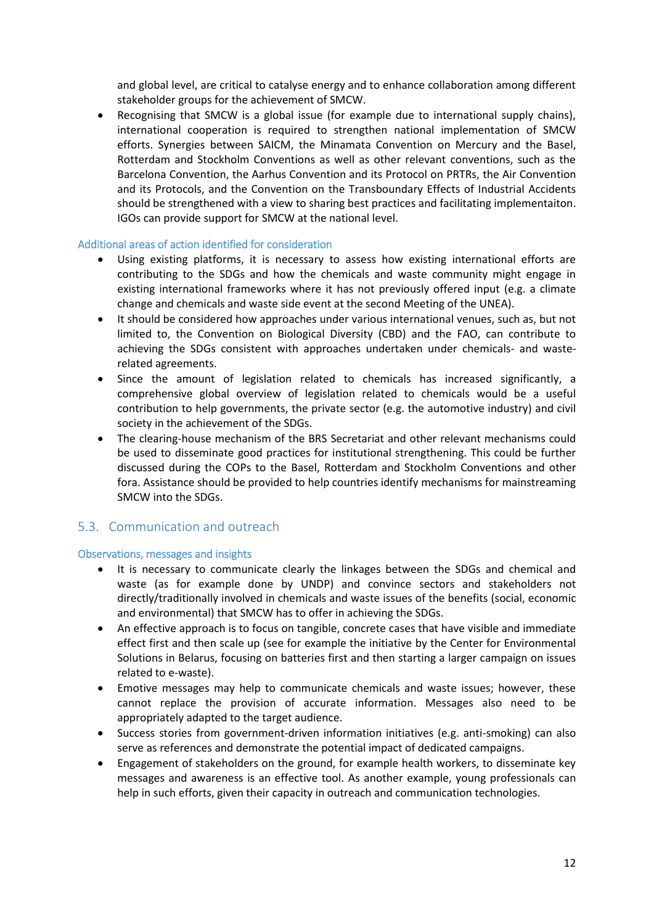and global level, are critical to catalyse energy and to enhance collaboration among different stakeholder groups for the achievement of SMCW.

 Recognising that SMCW is a global issue (for example due to international supply chains), international cooperation is required to strengthen national implementation of SMCW efforts. Synergies between SAICM, the Minamata Convention on Mercury and the Basel, Rotterdam and Stockholm Conventions as well as other relevant conventions, such as the Barcelona Convention, the Aarhus Convention and its Protocol on PRTRs, the Air Convention and its Protocols, and the Convention on the Transboundary Effects of Industrial Accidents should be strengthened with a view to sharing best practices and facilitating implementaiton. IGOs can provide support for SMCW at the national level.

#### Additional areas of action identified for consideration

- Using existing platforms, it is necessary to assess how existing international efforts are contributing to the SDGs and how the chemicals and waste community might engage in existing international frameworks where it has not previously offered input (e.g. a climate change and chemicals and waste side event at the second Meeting of the UNEA).
- It should be considered how approaches under various international venues, such as, but not limited to, the Convention on Biological Diversity (CBD) and the FAO, can contribute to achieving the SDGs consistent with approaches undertaken under chemicals- and wasterelated agreements.
- Since the amount of legislation related to chemicals has increased significantly, a comprehensive global overview of legislation related to chemicals would be a useful contribution to help governments, the private sector (e.g. the automotive industry) and civil society in the achievement of the SDGs.
- The clearing-house mechanism of the BRS Secretariat and other relevant mechanisms could be used to disseminate good practices for institutional strengthening. This could be further discussed during the COPs to the Basel, Rotterdam and Stockholm Conventions and other fora. Assistance should be provided to help countries identify mechanisms for mainstreaming SMCW into the SDGs.

## 5.3. Communication and outreach

#### Observations, messages and insights

- It is necessary to communicate clearly the linkages between the SDGs and chemical and waste (as for example done by UNDP) and convince sectors and stakeholders not directly/traditionally involved in chemicals and waste issues of the benefits (social, economic and environmental) that SMCW has to offer in achieving the SDGs.
- An effective approach is to focus on tangible, concrete cases that have visible and immediate effect first and then scale up (see for example the initiative by the Center for Environmental Solutions in Belarus, focusing on batteries first and then starting a larger campaign on issues related to e-waste).
- Emotive messages may help to communicate chemicals and waste issues; however, these cannot replace the provision of accurate information. Messages also need to be appropriately adapted to the target audience.
- Success stories from government-driven information initiatives (e.g. anti-smoking) can also serve as references and demonstrate the potential impact of dedicated campaigns.
- Engagement of stakeholders on the ground, for example health workers, to disseminate key messages and awareness is an effective tool. As another example, young professionals can help in such efforts, given their capacity in outreach and communication technologies.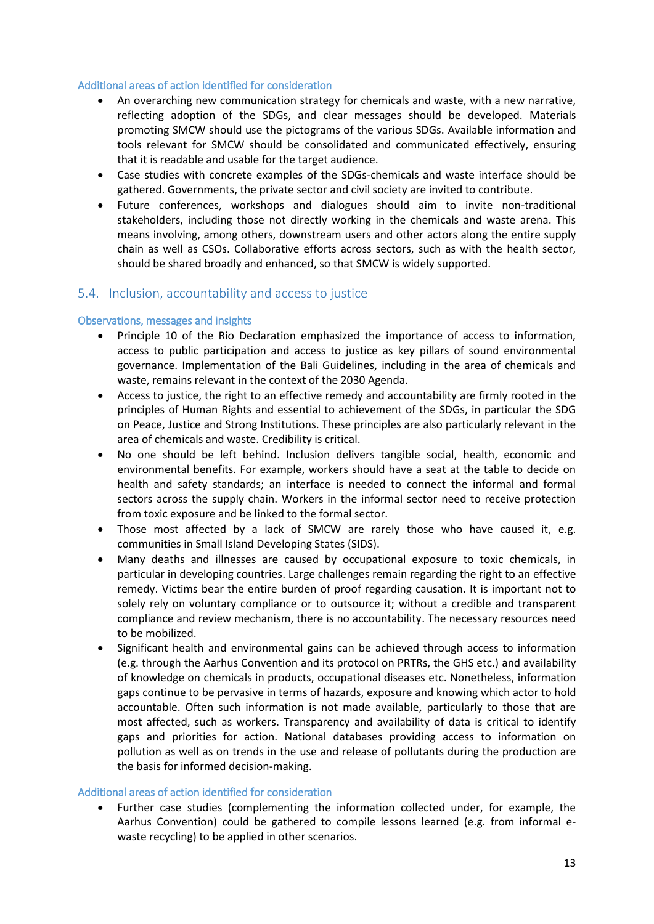#### Additional areas of action identified for consideration

- An overarching new communication strategy for chemicals and waste, with a new narrative, reflecting adoption of the SDGs, and clear messages should be developed. Materials promoting SMCW should use the pictograms of the various SDGs. Available information and tools relevant for SMCW should be consolidated and communicated effectively, ensuring that it is readable and usable for the target audience.
- Case studies with concrete examples of the SDGs-chemicals and waste interface should be gathered. Governments, the private sector and civil society are invited to contribute.
- Future conferences, workshops and dialogues should aim to invite non-traditional stakeholders, including those not directly working in the chemicals and waste arena. This means involving, among others, downstream users and other actors along the entire supply chain as well as CSOs. Collaborative efforts across sectors, such as with the health sector, should be shared broadly and enhanced, so that SMCW is widely supported.

### 5.4. Inclusion, accountability and access to justice

#### Observations, messages and insights

- Principle 10 of the Rio Declaration emphasized the importance of access to information, access to public participation and access to justice as key pillars of sound environmental governance. Implementation of the Bali Guidelines, including in the area of chemicals and waste, remains relevant in the context of the 2030 Agenda.
- Access to justice, the right to an effective remedy and accountability are firmly rooted in the principles of Human Rights and essential to achievement of the SDGs, in particular the SDG on Peace, Justice and Strong Institutions. These principles are also particularly relevant in the area of chemicals and waste. Credibility is critical.
- No one should be left behind. Inclusion delivers tangible social, health, economic and environmental benefits. For example, workers should have a seat at the table to decide on health and safety standards; an interface is needed to connect the informal and formal sectors across the supply chain. Workers in the informal sector need to receive protection from toxic exposure and be linked to the formal sector.
- Those most affected by a lack of SMCW are rarely those who have caused it, e.g. communities in Small Island Developing States (SIDS).
- Many deaths and illnesses are caused by occupational exposure to toxic chemicals, in particular in developing countries. Large challenges remain regarding the right to an effective remedy. Victims bear the entire burden of proof regarding causation. It is important not to solely rely on voluntary compliance or to outsource it; without a credible and transparent compliance and review mechanism, there is no accountability. The necessary resources need to be mobilized.
- Significant health and environmental gains can be achieved through access to information (e.g. through the Aarhus Convention and its protocol on PRTRs, the GHS etc.) and availability of knowledge on chemicals in products, occupational diseases etc. Nonetheless, information gaps continue to be pervasive in terms of hazards, exposure and knowing which actor to hold accountable. Often such information is not made available, particularly to those that are most affected, such as workers. Transparency and availability of data is critical to identify gaps and priorities for action. National databases providing access to information on pollution as well as on trends in the use and release of pollutants during the production are the basis for informed decision-making.

#### Additional areas of action identified for consideration

 Further case studies (complementing the information collected under, for example, the Aarhus Convention) could be gathered to compile lessons learned (e.g. from informal ewaste recycling) to be applied in other scenarios.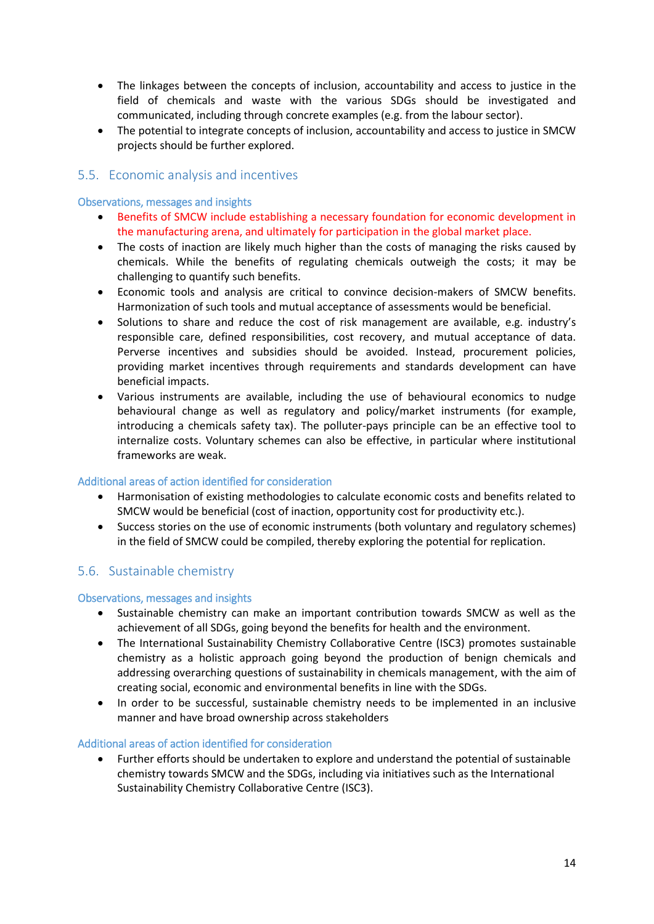- The linkages between the concepts of inclusion, accountability and access to justice in the field of chemicals and waste with the various SDGs should be investigated and communicated, including through concrete examples (e.g. from the labour sector).
- The potential to integrate concepts of inclusion, accountability and access to justice in SMCW projects should be further explored.

## 5.5. Economic analysis and incentives

#### Observations, messages and insights

- **•** Benefits of SMCW include establishing a necessary foundation for economic development in the manufacturing arena, and ultimately for participation in the global market place.
- The costs of inaction are likely much higher than the costs of managing the risks caused by chemicals. While the benefits of regulating chemicals outweigh the costs; it may be challenging to quantify such benefits.
- Economic tools and analysis are critical to convince decision-makers of SMCW benefits. Harmonization of such tools and mutual acceptance of assessments would be beneficial.
- Solutions to share and reduce the cost of risk management are available, e.g. industry's responsible care, defined responsibilities, cost recovery, and mutual acceptance of data. Perverse incentives and subsidies should be avoided. Instead, procurement policies, providing market incentives through requirements and standards development can have beneficial impacts.
- Various instruments are available, including the use of behavioural economics to nudge behavioural change as well as regulatory and policy/market instruments (for example, introducing a chemicals safety tax). The polluter-pays principle can be an effective tool to internalize costs. Voluntary schemes can also be effective, in particular where institutional frameworks are weak.

#### Additional areas of action identified for consideration

- Harmonisation of existing methodologies to calculate economic costs and benefits related to SMCW would be beneficial (cost of inaction, opportunity cost for productivity etc.).
- Success stories on the use of economic instruments (both voluntary and regulatory schemes) in the field of SMCW could be compiled, thereby exploring the potential for replication.

## 5.6. Sustainable chemistry

#### Observations, messages and insights

- Sustainable chemistry can make an important contribution towards SMCW as well as the achievement of all SDGs, going beyond the benefits for health and the environment.
- The International Sustainability Chemistry Collaborative Centre (ISC3) promotes sustainable chemistry as a holistic approach going beyond the production of benign chemicals and addressing overarching questions of sustainability in chemicals management, with the aim of creating social, economic and environmental benefits in line with the SDGs.
- In order to be successful, sustainable chemistry needs to be implemented in an inclusive manner and have broad ownership across stakeholders

#### Additional areas of action identified for consideration

 Further efforts should be undertaken to explore and understand the potential of sustainable chemistry towards SMCW and the SDGs, including via initiatives such as the International Sustainability Chemistry Collaborative Centre (ISC3).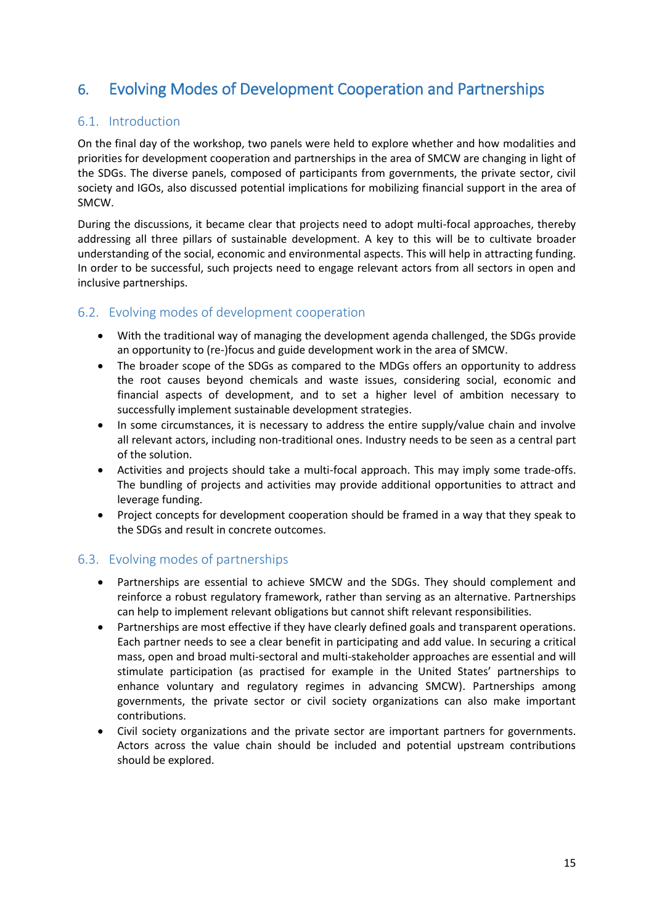# 6. Evolving Modes of Development Cooperation and Partnerships

# 6.1. Introduction

On the final day of the workshop, two panels were held to explore whether and how modalities and priorities for development cooperation and partnerships in the area of SMCW are changing in light of the SDGs. The diverse panels, composed of participants from governments, the private sector, civil society and IGOs, also discussed potential implications for mobilizing financial support in the area of SMCW.

During the discussions, it became clear that projects need to adopt multi-focal approaches, thereby addressing all three pillars of sustainable development. A key to this will be to cultivate broader understanding of the social, economic and environmental aspects. This will help in attracting funding. In order to be successful, such projects need to engage relevant actors from all sectors in open and inclusive partnerships.

## 6.2. Evolving modes of development cooperation

- With the traditional way of managing the development agenda challenged, the SDGs provide an opportunity to (re-)focus and guide development work in the area of SMCW.
- The broader scope of the SDGs as compared to the MDGs offers an opportunity to address the root causes beyond chemicals and waste issues, considering social, economic and financial aspects of development, and to set a higher level of ambition necessary to successfully implement sustainable development strategies.
- In some circumstances, it is necessary to address the entire supply/value chain and involve all relevant actors, including non-traditional ones. Industry needs to be seen as a central part of the solution.
- Activities and projects should take a multi-focal approach. This may imply some trade-offs. The bundling of projects and activities may provide additional opportunities to attract and leverage funding.
- Project concepts for development cooperation should be framed in a way that they speak to the SDGs and result in concrete outcomes.

## 6.3. Evolving modes of partnerships

- Partnerships are essential to achieve SMCW and the SDGs. They should complement and reinforce a robust regulatory framework, rather than serving as an alternative. Partnerships can help to implement relevant obligations but cannot shift relevant responsibilities.
- Partnerships are most effective if they have clearly defined goals and transparent operations. Each partner needs to see a clear benefit in participating and add value. In securing a critical mass, open and broad multi-sectoral and multi-stakeholder approaches are essential and will stimulate participation (as practised for example in the United States' partnerships to enhance voluntary and regulatory regimes in advancing SMCW). Partnerships among governments, the private sector or civil society organizations can also make important contributions.
- Civil society organizations and the private sector are important partners for governments. Actors across the value chain should be included and potential upstream contributions should be explored.